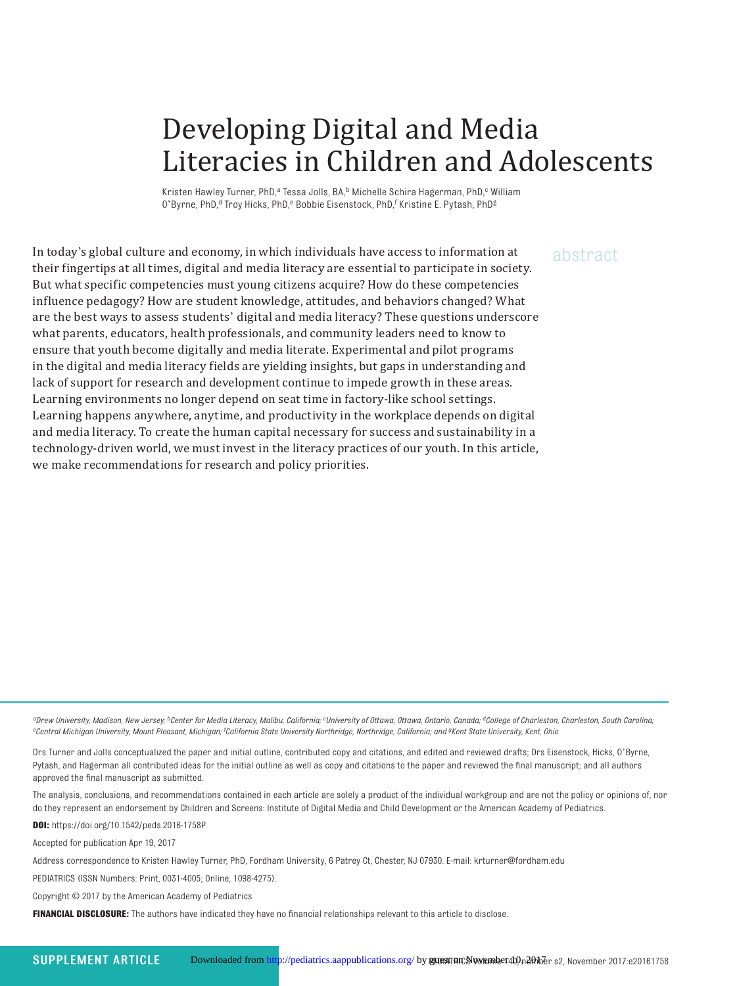# Developing Digital and Media Literacies in Children and Adolescents

Kristen Hawley Turner, PhD,<sup>a</sup> Tessa Jolls, BA,<sup>b</sup> Michelle Schira Hagerman, PhD,<sup>c</sup> William 0'Byrne, PhD,<sup>d</sup> Troy Hicks, PhD,<sup>e</sup> Bobbie Eisenstock, PhD,<sup>f</sup> Kristine E. Pytash, PhD<sup>g</sup>

In today's global culture and economy, in which individuals have access to information at their fingertips at all times, digital and media literacy are essential to participate in society. But what specific competencies must young citizens acquire? How do these competencies influence pedagogy? How are student knowledge, attitudes, and behaviors changed? What are the best ways to assess students' digital and media literacy? These questions underscore what parents, educators, health professionals, and community leaders need to know to ensure that youth become digitally and media literate. Experimental and pilot programs in the digital and media literacy fields are yielding insights, but gaps in understanding and lack of support for research and development continue to impede growth in these areas. Learning environments no longer depend on seat time in factory-like school settings. Learning happens anywhere, anytime, and productivity in the workplace depends on digital and media literacy. To create the human capital necessary for success and sustainability in a technology-driven world, we must invest in the literacy practices of our youth. In this article, we make recommendations for research and policy priorities.

abstract

ªDrew University, Madison, New Jersey; <sup>b</sup>Center for Media Literacy, Malibu, California; <sup>c</sup>University of Ottawa, Ottawa, Ontario, Canada; <sup>a</sup>College of Charleston, Charleston, South Carolina;<br>ªCentral Michigan University, *California State University Northridge, Northridge, California; and gKent State University, Kent, Ohio*

Drs Turner and Jolls conceptualized the paper and initial outline, contributed copy and citations, and edited and reviewed drafts; Drs Eisenstock, Hicks, O'Byrne, Pytash, and Hagerman all contributed ideas for the initial outline as well as copy and citations to the paper and reviewed the final manuscript; and all authors approved the final manuscript as submitted.

The analysis, conclusions, and recommendations contained in each article are solely a product of the individual workgroup and are not the policy or opinions of, nor do they represent an endorsement by Children and Screens: Institute of Digital Media and Child Development or the American Academy of Pediatrics.

**DOI:**<https://doi.org/10.1542/peds.2016-1758P>

Accepted for publication Apr 19, 2017

Address correspondence to Kristen Hawley Turner, PhD, Fordham University, 6 Patrey Ct, Chester, NJ 07930. E-mail: [krturner@fordham.edu](mailto:)

PEDIATRICS (ISSN Numbers: Print, 0031-4005; Online, 1098-4275).

Copyright © 2017 by the American Academy of Pediatrics

**FINANCIAL DISCLOSURE:** The authors have indicated they have no financial relationships relevant to this article to disclose.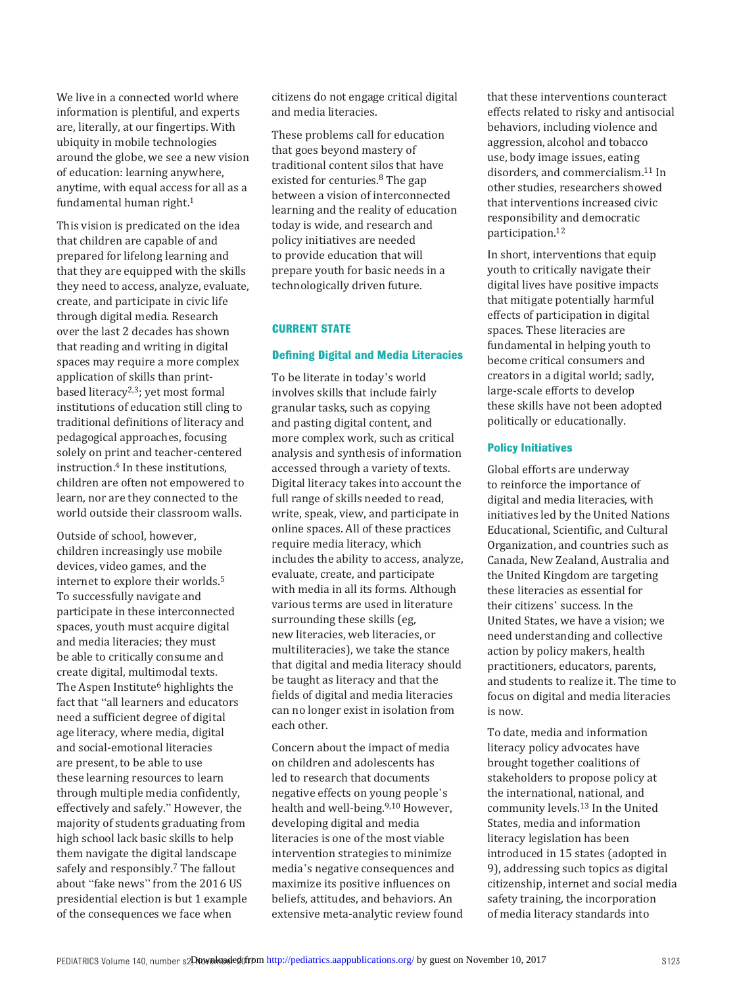We live in a connected world where information is plentiful, and experts are, literally, at our fingertips. With ubiquity in mobile technologies around the globe, we see a new vision of education: learning anywhere, anytime, with equal access for all as a fundamental human right. [1](#page-3-0)

This vision is predicated on the idea that children are capable of and prepared for lifelong learning and that they are equipped with the skills they need to access, analyze, evaluate, create, and participate in civic life through digital media. Research over the last 2 decades has shown that reading and writing in digital spaces may require a more complex application of skills than print-based literacy<sup>[2](#page-3-1),[3](#page-3-2)</sup>; yet most formal institutions of education still cling to traditional definitions of literacy and pedagogical approaches, focusing solely on print and teacher-centered instruction. [4](#page-3-3) In these institutions, children are often not empowered to learn, nor are they connected to the world outside their classroom walls.

Outside of school, however, children increasingly use mobile devices, video games, and the internet to explore their worlds. [5](#page-3-4) To successfully navigate and participate in these interconnected spaces, youth must acquire digital and media literacies; they must be able to critically consume and create digital, multimodal texts. The Aspen Institute<sup>[6](#page-4-0)</sup> highlights the fact that "all learners and educators need a sufficient degree of digital age literacy, where media, digital and social-emotional literacies are present, to be able to use these learning resources to learn through multiple media confidently, effectively and safely." However, the majority of students graduating from high school lack basic skills to help them navigate the digital landscape safely and responsibly. [7](#page-4-1) The fallout about "fake news" from the 2016 US presidential election is but 1 example of the consequences we face when

citizens do not engage critical digital and media literacies.

These problems call for education that goes beyond mastery of traditional content silos that have existed for centuries. [8](#page-4-2) The gap between a vision of interconnected learning and the reality of education today is wide, and research and policy initiatives are needed to provide education that will prepare youth for basic needs in a technologically driven future.

#### **Current State**

#### **Defining Digital and Media Literacies**

To be literate in today's world involves skills that include fairly granular tasks, such as copying and pasting digital content, and more complex work, such as critical analysis and synthesis of information accessed through a variety of texts. Digital literacy takes into account the full range of skills needed to read, write, speak, view, and participate in online spaces. All of these practices require media literacy, which includes the ability to access, analyze, evaluate, create, and participate with media in all its forms. Although various terms are used in literature surrounding these skills (eg, new literacies, web literacies, or multiliteracies), we take the stance that digital and media literacy should be taught as literacy and that the fields of digital and media literacies can no longer exist in isolation from each other.

Concern about the impact of media on children and adolescents has led to research that documents negative effects on young people's health and well-being. [9](#page-4-3),[10](#page-4-4) However, developing digital and media literacies is one of the most viable intervention strategies to minimize media's negative consequences and maximize its positive influences on beliefs, attitudes, and behaviors. An extensive meta-analytic review found that these interventions counteract effects related to risky and antisocial behaviors, including violence and aggression, alcohol and tobacco use, body image issues, eating disorders, and commercialism. [11](#page-4-5) In other studies, researchers showed that interventions increased civic responsibility and democratic participation. [12](#page-4-6)

In short, interventions that equip youth to critically navigate their digital lives have positive impacts that mitigate potentially harmful effects of participation in digital spaces. These literacies are fundamental in helping youth to become critical consumers and creators in a digital world; sadly, large-scale efforts to develop these skills have not been adopted politically or educationally.

# **Policy Initiatives**

Global efforts are underway to reinforce the importance of digital and media literacies, with initiatives led by the United Nations Educational, Scientific, and Cultural Organization, and countries such as Canada, New Zealand, Australia and the United Kingdom are targeting these literacies as essential for their citizens' success. In the United States, we have a vision; we need understanding and collective action by policy makers, health practitioners, educators, parents, and students to realize it. The time to focus on digital and media literacies is now.

To date, media and information literacy policy advocates have brought together coalitions of stakeholders to propose policy at the international, national, and community levels. [13](#page-4-7) In the United States, media and information literacy legislation has been introduced in 15 states (adopted in 9), addressing such topics as digital citizenship, internet and social media safety training, the incorporation of media literacy standards into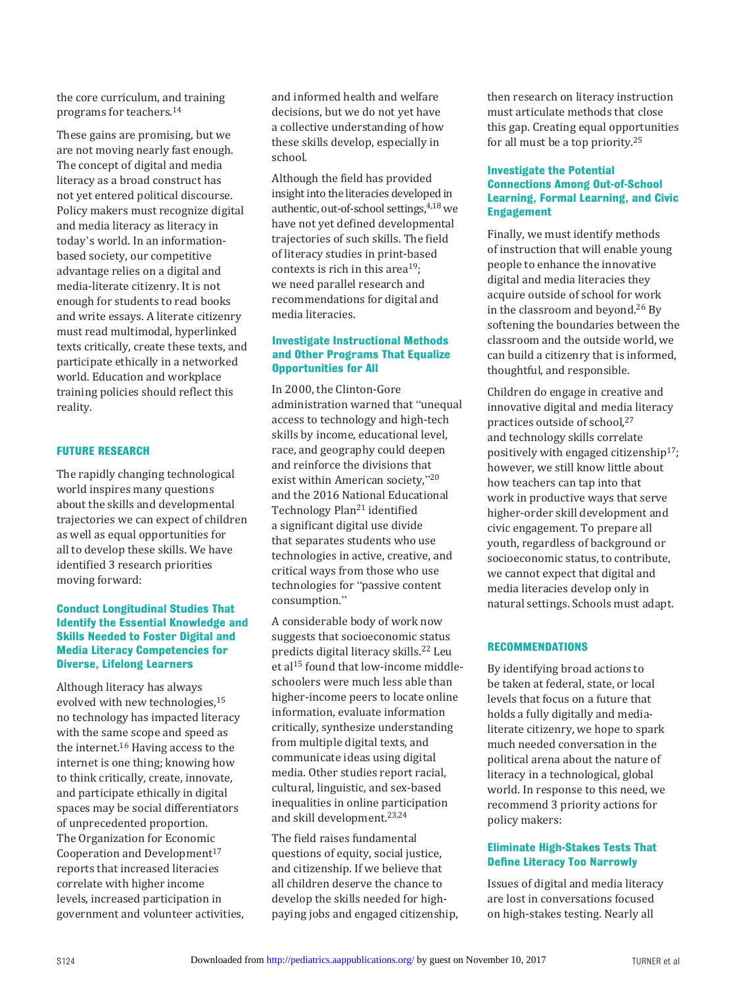the core curriculum, and training programs for teachers. [14](#page-4-8)

These gains are promising, but we are not moving nearly fast enough. The concept of digital and media literacy as a broad construct has not yet entered political discourse. Policy makers must recognize digital and media literacy as literacy in today's world. In an informationbased society, our competitive advantage relies on a digital and media-literate citizenry. It is not enough for students to read books and write essays. A literate citizenry must read multimodal, hyperlinked texts critically, create these texts, and participate ethically in a networked world. Education and workplace training policies should reflect this reality.

# **Future Research**

The rapidly changing technological world inspires many questions about the skills and developmental trajectories we can expect of children as well as equal opportunities for all to develop these skills. We have identified 3 research priorities moving forward:

#### **Conduct Longitudinal Studies That Identify the Essential Knowledge and Skills Needed to Foster Digital and Media Literacy Competencies for Diverse, Lifelong Learners**

Although literacy has always evolved with new technologies,<sup>[15](#page-4-9)</sup> no technology has impacted literacy with the same scope and speed as the internet. [16](#page-4-10) Having access to the internet is one thing; knowing how to think critically, create, innovate, and participate ethically in digital spaces may be social differentiators of unprecedented proportion. The Organization for Economic Cooperation and Development<sup>[17](#page-4-11)</sup> reports that increased literacies correlate with higher income levels, increased participation in government and volunteer activities, and informed health and welfare decisions, but we do not yet have a collective understanding of how these skills develop, especially in school.

Although the field has provided insight into the literacies developed in authentic, out-of-school settings, 4[,18](#page-4-12) we have not yet defined developmental trajectories of such skills. The field of literacy studies in print-based contexts is rich in this [a](#page-4-13)rea<sup>19</sup>; we need parallel research and recommendations for digital and media literacies.

## **Investigate Instructional Methods and Other Programs That Equalize Opportunities for All**

In 2000, the Clinton-Gore administration warned that "unequal access to technology and high-tech skills by income, educational level, race, and geography could deepen and reinforce the divisions that exist within American society,"[20](#page-4-14) and the 2016 National Educational Technology Plan[21](#page-4-15) identified a significant digital use divide that separates students who use technologies in active, creative, and critical ways from those who use technologies for "passive content consumption."

A considerable body of work now suggests that socioeconomic status predicts digital literacy skills. [22](#page-4-16) Leu et al [15](#page-4-9) found that low-income middleschoolers were much less able than higher-income peers to locate online information, evaluate information critically, synthesize understanding from multiple digital texts, and communicate ideas using digital media. Other studies report racial, cultural, linguistic, and sex-based inequalities in online participation and skill development. [23](#page-4-17)[,24](#page-4-18)

The field raises fundamental questions of equity, social justice, and citizenship. If we believe that all children deserve the chance to develop the skills needed for highpaying jobs and engaged citizenship, then research on literacy instruction must articulate methods that close this gap. Creating equal opportunities for all must be a top priority. [25](#page-4-19)

#### **Investigate the Potential Connections Among Out-of-School Learning, Formal Learning, and Civic Engagement**

Finally, we must identify methods of instruction that will enable young people to enhance the innovative digital and media literacies they acquire outside of school for work in the classroom and beyond. [26](#page-4-20) By softening the boundaries between the classroom and the outside world, we can build a citizenry that is informed, thoughtful, and responsible.

Children do engage in creative and innovative digital and media literacy practices outside of school[,27](#page-4-21)  and technology skills correlate [p](#page-4-11)ositively with engaged citizenship<sup>17</sup>; however, we still know little about how teachers can tap into that work in productive ways that serve higher-order skill development and civic engagement. To prepare all youth, regardless of background or socioeconomic status, to contribute, we cannot expect that digital and media literacies develop only in natural settings. Schools must adapt.

# **Recommendations**

By identifying broad actions to be taken at federal, state, or local levels that focus on a future that holds a fully digitally and medialiterate citizenry, we hope to spark much needed conversation in the political arena about the nature of literacy in a technological, global world. In response to this need, we recommend 3 priority actions for policy makers:

## **Eliminate High-Stakes Tests That Define Literacy Too Narrowly**

Issues of digital and media literacy are lost in conversations focused on high-stakes testing. Nearly all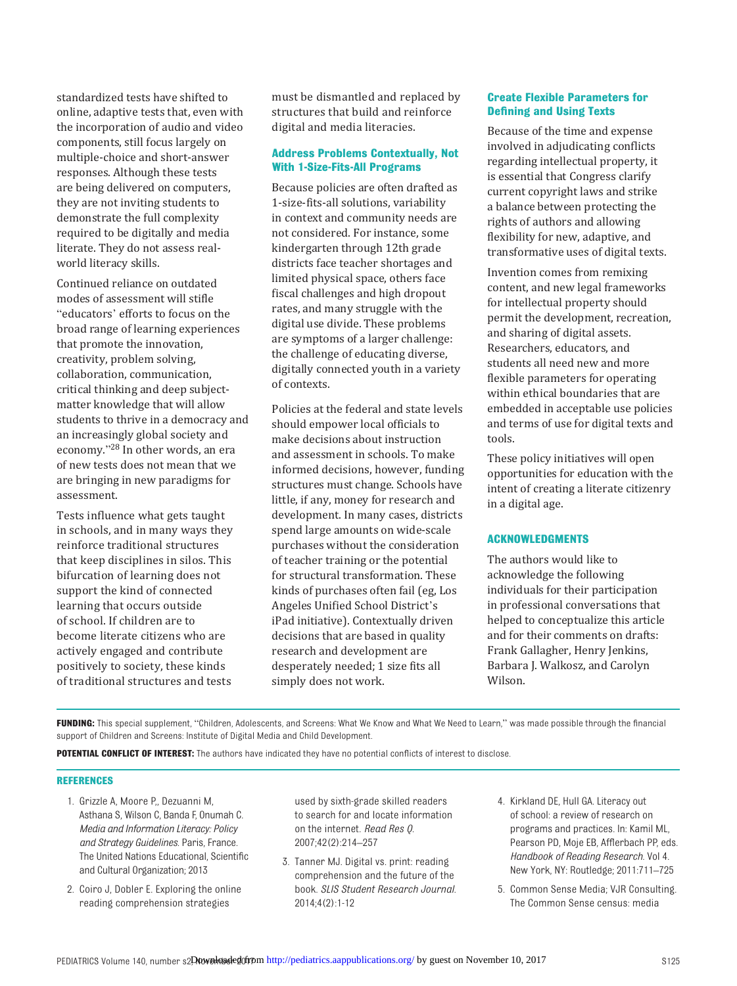standardized tests have shifted to online, adaptive tests that, even with the incorporation of audio and video components, still focus largely on multiple-choice and short-answer responses. Although these tests are being delivered on computers, they are not inviting students to demonstrate the full complexity required to be digitally and media literate. They do not assess realworld literacy skills.

Continued reliance on outdated modes of assessment will stifle "educators' efforts to focus on the broad range of learning experiences that promote the innovation, creativity, problem solving, collaboration, communication, critical thinking and deep subjectmatter knowledge that will allow students to thrive in a democracy and an increasingly global society and economy."[28](#page-4-22) In other words, an era of new tests does not mean that we are bringing in new paradigms for assessment.

Tests influence what gets taught in schools, and in many ways they reinforce traditional structures that keep disciplines in silos. This bifurcation of learning does not support the kind of connected learning that occurs outside of school. If children are to become literate citizens who are actively engaged and contribute positively to society, these kinds of traditional structures and tests

must be dismantled and replaced by structures that build and reinforce digital and media literacies.

#### **Address Problems Contextually, Not With 1-Size-Fits-All Programs**

Because policies are often drafted as 1-size-fits-all solutions, variability in context and community needs are not considered. For instance, some kindergarten through 12th grade districts face teacher shortages and limited physical space, others face fiscal challenges and high dropout rates, and many struggle with the digital use divide. These problems are symptoms of a larger challenge: the challenge of educating diverse, digitally connected youth in a variety of contexts.

Policies at the federal and state levels should empower local officials to make decisions about instruction and assessment in schools. To make informed decisions, however, funding structures must change. Schools have little, if any, money for research and development. In many cases, districts spend large amounts on wide-scale purchases without the consideration of teacher training or the potential for structural transformation. These kinds of purchases often fail (eg, Los Angeles Unified School District's iPad initiative). Contextually driven decisions that are based in quality research and development are desperately needed; 1 size fits all simply does not work.

# **Create Flexible Parameters for Defining and Using Texts**

Because of the time and expense involved in adjudicating conflicts regarding intellectual property, it is essential that Congress clarify current copyright laws and strike a balance between protecting the rights of authors and allowing flexibility for new, adaptive, and transformative uses of digital texts.

Invention comes from remixing content, and new legal frameworks for intellectual property should permit the development, recreation, and sharing of digital assets. Researchers, educators, and students all need new and more flexible parameters for operating within ethical boundaries that are embedded in acceptable use policies and terms of use for digital texts and tools.

These policy initiatives will open opportunities for education with the intent of creating a literate citizenry in a digital age.

#### **Acknowledgments**

The authors would like to acknowledge the following individuals for their participation in professional conversations that helped to conceptualize this article and for their comments on drafts: Frank Gallagher, Henry Jenkins, Barbara J. Walkosz, and Carolyn Wilson.

FUNDING: This special supplement, "Children, Adolescents, and Screens: What We Know and What We Need to Learn," was made possible through the financial support of Children and Screens: Institute of Digital Media and Child Development.

**POTENTIAL CONFLICT OF INTEREST:** The authors have indicated they have no potential conflicts of interest to disclose.

#### **References**

- <span id="page-3-0"></span>1. Grizzle A, Moore P,, Dezuanni M, Asthana S, Wilson C, Banda F, Onumah C. *Media and Information Literacy: Policy and Strategy Guidelines*. Paris, France. The United Nations Educational, Scientific and Cultural Organization; 2013
- <span id="page-3-1"></span>2. Coiro J, Dobler E. Exploring the online reading comprehension strategies

used by sixth-grade skilled readers to search for and locate information on the internet. *Read Res Q*. 2007;42(2):214–257

- <span id="page-3-2"></span>3. Tanner MJ. Digital vs. print: reading comprehension and the future of the book. *SLIS Student Research Journal*. 2014;4(2):1-12
- <span id="page-3-3"></span>4. Kirkland DE, Hull GA. Literacy out of school: a review of research on programs and practices. In: Kamil ML, Pearson PD, Moje EB, Afflerbach PP, eds. *Handbook of Reading Research*. Vol 4. New York, NY: Routledge; 2011:711–725
- <span id="page-3-4"></span>5. Common Sense Media; VJR Consulting. The Common Sense census: media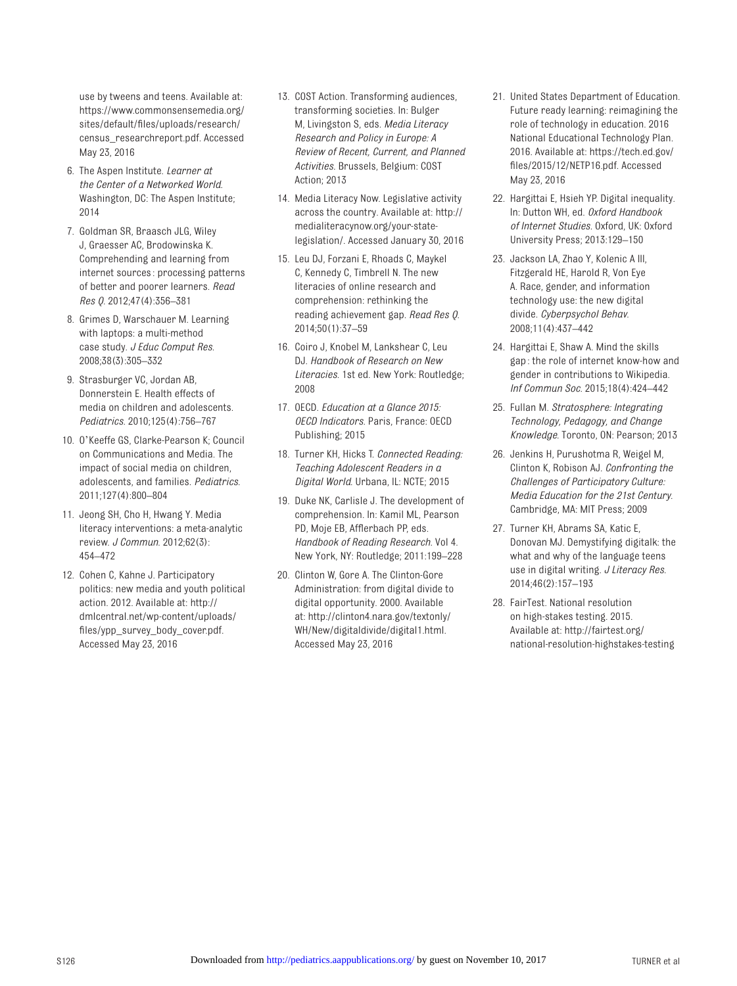use by tweens and teens. Available at: [https://www.commonsensemedia.org/](https://www.commonsensemedia.org/sites/default/files/uploads/research/census_researchreport.pdf) [sites/default/files/uploads/research/](https://www.commonsensemedia.org/sites/default/files/uploads/research/census_researchreport.pdf) [census\\_researchreport.pdf](https://www.commonsensemedia.org/sites/default/files/uploads/research/census_researchreport.pdf). Accessed May 23, 2016

- <span id="page-4-0"></span>6. The Aspen Institute. *Learner at the Center of a Networked World*. Washington, DC: The Aspen Institute; 2014
- <span id="page-4-1"></span>7. Goldman SR, Braasch JLG, Wiley J, Graesser AC, Brodowinska K. Comprehending and learning from internet sources : processing patterns of better and poorer learners. *Read Res Q*. 2012;47(4):356–381
- <span id="page-4-2"></span>8. Grimes D, Warschauer M. Learning with laptops: a multi-method case study. *J Educ Comput Res*. 2008;38(3):305–332
- <span id="page-4-3"></span>9. Strasburger VC, Jordan AB, Donnerstein E. Health effects of media on children and adolescents. *Pediatrics*. 2010;125(4):756–767
- <span id="page-4-4"></span>10. O'Keeffe GS, Clarke-Pearson K; Council on Communications and Media. The impact of social media on children, adolescents, and families. *Pediatrics*. 2011;127(4):800–804
- <span id="page-4-5"></span>11. Jeong SH, Cho H, Hwang Y. Media literacy interventions: a meta-analytic review. *J Commun*. 2012;62(3): 454–472
- <span id="page-4-6"></span>12. Cohen C, Kahne J. Participatory politics: new media and youth political action. 2012. Available at: [http://](http://dmlcentral.net/wp-content/uploads/files/ypp_survey_body_cover.pdf) [dmlcentral.net/wp-content/uploads/](http://dmlcentral.net/wp-content/uploads/files/ypp_survey_body_cover.pdf) [files/ypp\\_survey\\_body\\_cover.pdf.](http://dmlcentral.net/wp-content/uploads/files/ypp_survey_body_cover.pdf) Accessed May 23, 2016
- <span id="page-4-7"></span>13. COST Action. Transforming audiences, transforming societies. In: Bulger M, Livingston S, eds. *Media Literacy Research and Policy in Europe: A Review of Recent, Current, and Planned Activities.* Brussels, Belgium: COST Action; 2013
- <span id="page-4-8"></span>14. Media Literacy Now. Legislative activity across the country. Available at: [http://](http://medialiteracynow.org/your-state-legislation/) [medialiteracynow.org/your-state](http://medialiteracynow.org/your-state-legislation/)[legislation/.](http://medialiteracynow.org/your-state-legislation/) Accessed January 30, 2016
- <span id="page-4-9"></span>15. Leu DJ, Forzani E, Rhoads C, Maykel C, Kennedy C, Timbrell N. The new literacies of online research and comprehension: rethinking the reading achievement gap. *Read Res Q*. 2014;50(1):37–59
- <span id="page-4-10"></span>16. Coiro J, Knobel M, Lankshear C, Leu DJ. *Handbook of Research on New Literacies*. 1st ed. New York: Routledge; 2008
- <span id="page-4-11"></span>17. OECD. *Education at a Glance 2015: OECD Indicators*. Paris, France: OECD Publishing; 2015
- <span id="page-4-12"></span>18. Turner KH, Hicks T. *Connected Reading: Teaching Adolescent Readers in a Digital World*. Urbana, IL: NCTE; 2015
- <span id="page-4-13"></span>19. Duke NK, Carlisle J. The development of comprehension. In: Kamil ML, Pearson PD, Moje EB, Afflerbach PP, eds. *Handbook of Reading Research*. Vol 4. New York, NY: Routledge; 2011:199–228
- <span id="page-4-14"></span>20. Clinton W, Gore A. The Clinton-Gore Administration: from digital divide to digital opportunity. 2000. Available at: [http://clinton4.nara.gov/textonly/](http://clinton4.nara.gov/textonly/WH/New/digitaldivide/digital1.html) [WH/New/digitaldivide/digital1.html.](http://clinton4.nara.gov/textonly/WH/New/digitaldivide/digital1.html) Accessed May 23, 2016
- <span id="page-4-15"></span>21. United States Department of Education. Future ready learning: reimagining the role of technology in education. 2016 National Educational Technology Plan. 2016. Available at: [https://tech.ed.gov/](https://tech.ed.gov/files/2015/12/NETP16.pdf) [files/2015/12/NETP16.pdf.](https://tech.ed.gov/files/2015/12/NETP16.pdf) Accessed May 23, 2016
- <span id="page-4-16"></span>22. Hargittai E, Hsieh YP. Digital inequality. In: Dutton WH, ed. *Oxford Handbook of Internet Studies*. Oxford, UK: Oxford University Press; 2013:129–150
- <span id="page-4-17"></span>23. Jackson LA, Zhao Y, Kolenic A III, Fitzgerald HE, Harold R, Von Eye A. Race, gender, and information technology use: the new digital divide. *Cyberpsychol Behav*. 2008;11(4):437–442
- <span id="page-4-18"></span>24. Hargittai E, Shaw A. Mind the skills gap : the role of internet know-how and gender in contributions to Wikipedia. *Inf Commun Soc*. 2015;18(4):424–442
- <span id="page-4-19"></span>25. Fullan M. *Stratosphere: Integrating Technology, Pedagogy, and Change Knowledge*. Toronto, ON: Pearson; 2013
- <span id="page-4-20"></span>26. Jenkins H, Purushotma R, Weigel M, Clinton K, Robison AJ. *Confronting the Challenges of Participatory Culture: Media Education for the 21st Century*. Cambridge, MA: MIT Press; 2009
- <span id="page-4-21"></span>27. Turner KH, Abrams SA, Katic E, Donovan MJ. Demystifying digitalk: the what and why of the language teens use in digital writing. *J Literacy Res*. 2014;46(2):157–193
- <span id="page-4-22"></span>28. FairTest. National resolution on high-stakes testing. 2015. Available at: [http://fairtest.org/](http://fairtest.org/national-resolution-highstakes-testing) [national-resolution-highstakes-testing](http://fairtest.org/national-resolution-highstakes-testing)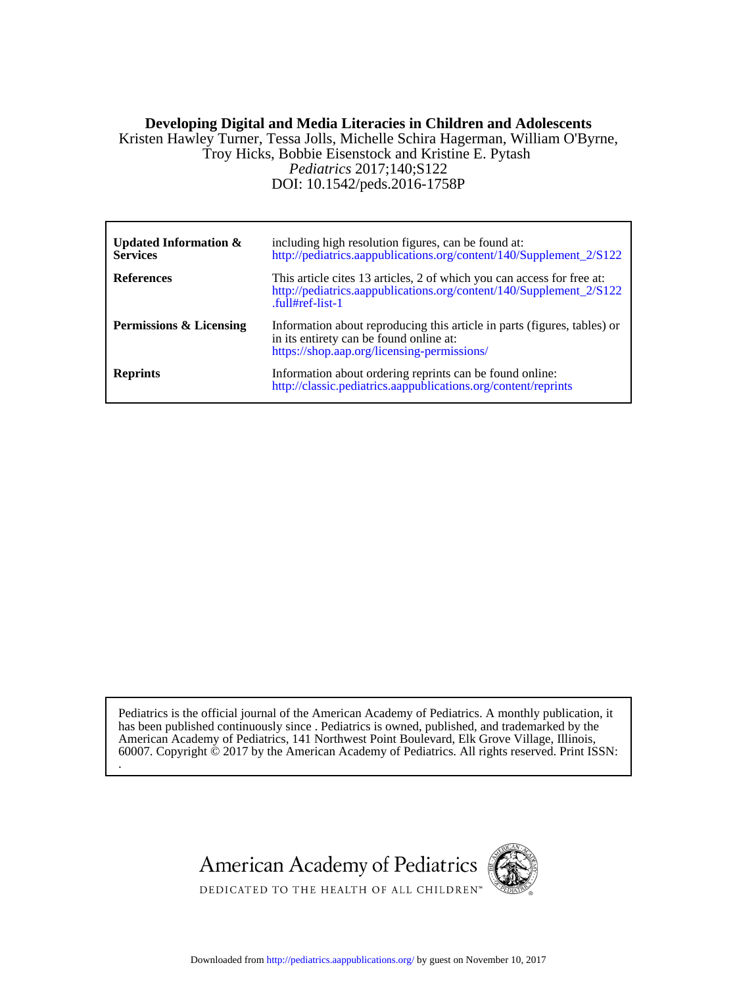# **Developing Digital and Media Literacies in Children and Adolescents**

DOI: 10.1542/peds.2016-1758P *Pediatrics* 2017;140;S122 Troy Hicks, Bobbie Eisenstock and Kristine E. Pytash Kristen Hawley Turner, Tessa Jolls, Michelle Schira Hagerman, William O'Byrne,

| Updated Information $\&$<br><b>Services</b> | including high resolution figures, can be found at:<br>http://pediatrics.aappublications.org/content/140/Supplement_2/S122                                         |
|---------------------------------------------|--------------------------------------------------------------------------------------------------------------------------------------------------------------------|
| <b>References</b>                           | This article cites 13 articles, 2 of which you can access for free at:<br>http://pediatrics.aappublications.org/content/140/Supplement 2/S122<br>$full#ref-list-1$ |
| Permissions & Licensing                     | Information about reproducing this article in parts (figures, tables) or<br>in its entirety can be found online at:<br>https://shop.aap.org/licensing-permissions/ |
| <b>Reprints</b>                             | Information about ordering reprints can be found online:<br>http://classic.pediatrics.aappublications.org/content/reprints                                         |

. 60007. Copyright © 2017 by the American Academy of Pediatrics. All rights reserved. Print ISSN: American Academy of Pediatrics, 141 Northwest Point Boulevard, Elk Grove Village, Illinois, has been published continuously since . Pediatrics is owned, published, and trademarked by the Pediatrics is the official journal of the American Academy of Pediatrics. A monthly publication, it